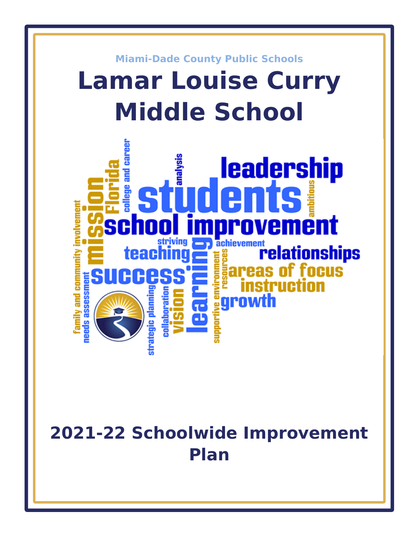

# **2021-22 Schoolwide Improvement Plan**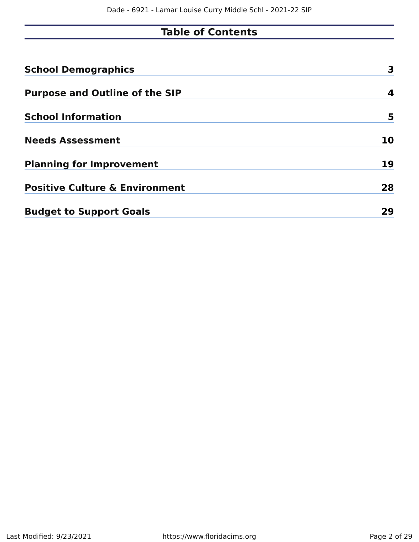## **Table of Contents**

| <b>School Demographics</b>                | 3  |
|-------------------------------------------|----|
| <b>Purpose and Outline of the SIP</b>     | 4  |
| <b>School Information</b>                 | 5  |
| <b>Needs Assessment</b>                   | 10 |
| <b>Planning for Improvement</b>           | 19 |
| <b>Positive Culture &amp; Environment</b> | 28 |
| <b>Budget to Support Goals</b>            | 29 |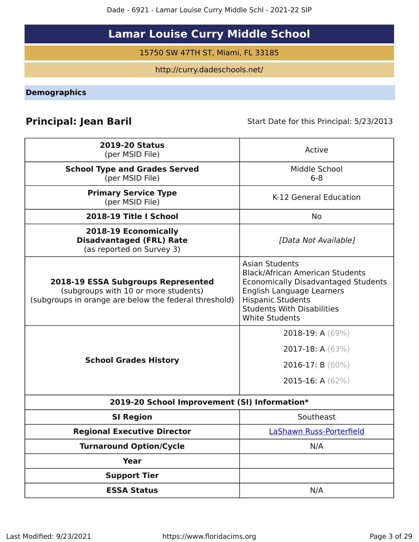Dade - 6921 - Lamar Louise Curry Middle Schl - 2021-22 SIP

# **Lamar Louise Curry Middle School**

15750 SW 47TH ST, Miami, FL 33185

http://curry.dadeschools.net/

<span id="page-2-0"></span>**Demographics**

**Principal: Jean Baril** Start Date for this Principal: 5/23/2013

| <b>2019-20 Status</b><br>(per MSID File)                                                                                                   | Active                                                                                                                                                                                                                               |
|--------------------------------------------------------------------------------------------------------------------------------------------|--------------------------------------------------------------------------------------------------------------------------------------------------------------------------------------------------------------------------------------|
| <b>School Type and Grades Served</b><br>(per MSID File)                                                                                    | Middle School<br>$6 - 8$                                                                                                                                                                                                             |
| <b>Primary Service Type</b><br>(per MSID File)                                                                                             | K-12 General Education                                                                                                                                                                                                               |
| 2018-19 Title I School                                                                                                                     | No                                                                                                                                                                                                                                   |
| 2018-19 Economically<br><b>Disadvantaged (FRL) Rate</b><br>(as reported on Survey 3)                                                       | [Data Not Available]                                                                                                                                                                                                                 |
| <b>2018-19 ESSA Subgroups Represented</b><br>(subgroups with 10 or more students)<br>(subgroups in orange are below the federal threshold) | <b>Asian Students</b><br><b>Black/African American Students</b><br><b>Economically Disadvantaged Students</b><br>English Language Learners<br><b>Hispanic Students</b><br><b>Students With Disabilities</b><br><b>White Students</b> |
| <b>School Grades History</b>                                                                                                               | 2018-19: A (69%)<br>2017-18: A (63%)<br>2016-17: B $(60\%)$<br>2015-16: A $(62\%)$                                                                                                                                                   |
| 2019-20 School Improvement (SI) Information*                                                                                               |                                                                                                                                                                                                                                      |
| <b>SI Region</b>                                                                                                                           | Southeast                                                                                                                                                                                                                            |
| <b>Regional Executive Director</b>                                                                                                         | LaShawn Russ-Porterfield                                                                                                                                                                                                             |
| <b>Turnaround Option/Cycle</b>                                                                                                             | N/A                                                                                                                                                                                                                                  |
| <b>Year</b>                                                                                                                                |                                                                                                                                                                                                                                      |
| <b>Support Tier</b>                                                                                                                        |                                                                                                                                                                                                                                      |
| <b>ESSA Status</b>                                                                                                                         | N/A                                                                                                                                                                                                                                  |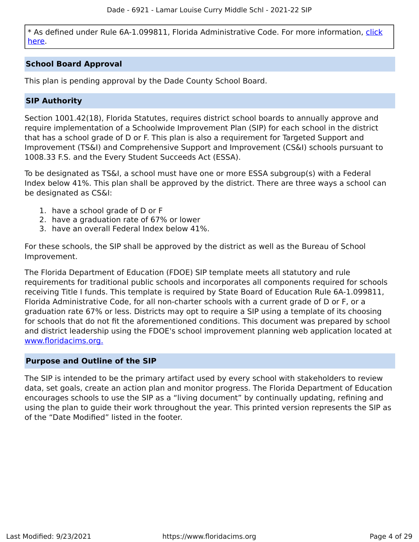\* As defined under Rule 6A-1.099811, Florida Administrative Code. For more information, [click](/downloads?category=da-forms) [here](/downloads?category=da-forms).

#### **School Board Approval**

This plan is pending approval by the Dade County School Board.

#### **SIP Authority**

Section 1001.42(18), Florida Statutes, requires district school boards to annually approve and require implementation of a Schoolwide Improvement Plan (SIP) for each school in the district that has a school grade of D or F. This plan is also a requirement for Targeted Support and Improvement (TS&I) and Comprehensive Support and Improvement (CS&I) schools pursuant to 1008.33 F.S. and the Every Student Succeeds Act (ESSA).

To be designated as TS&I, a school must have one or more ESSA subgroup(s) with a Federal Index below 41%. This plan shall be approved by the district. There are three ways a school can be designated as CS&I:

- 1. have a school grade of D or F
- 2. have a graduation rate of 67% or lower
- 3. have an overall Federal Index below 41%.

For these schools, the SIP shall be approved by the district as well as the Bureau of School Improvement.

The Florida Department of Education (FDOE) SIP template meets all statutory and rule requirements for traditional public schools and incorporates all components required for schools receiving Title I funds. This template is required by State Board of Education Rule 6A-1.099811, Florida Administrative Code, for all non-charter schools with a current grade of D or F, or a graduation rate 67% or less. Districts may opt to require a SIP using a template of its choosing for schools that do not fit the aforementioned conditions. This document was prepared by school and district leadership using the FDOE's school improvement planning web application located at [www.floridacims.org.](https://www.floridacims.org)

#### <span id="page-3-0"></span>**Purpose and Outline of the SIP**

The SIP is intended to be the primary artifact used by every school with stakeholders to review data, set goals, create an action plan and monitor progress. The Florida Department of Education encourages schools to use the SIP as a "living document" by continually updating, refining and using the plan to guide their work throughout the year. This printed version represents the SIP as of the "Date Modified" listed in the footer.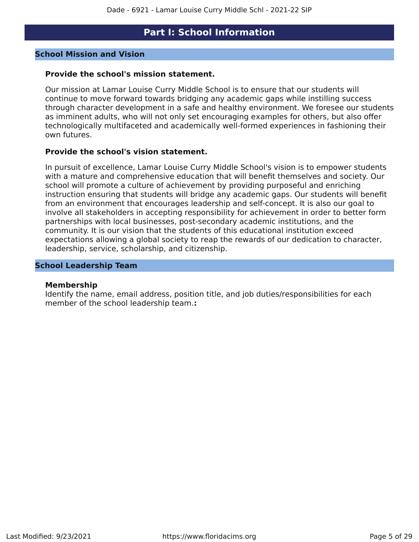### **Part I: School Information**

#### <span id="page-4-0"></span>**School Mission and Vision**

#### **Provide the school's mission statement.**

Our mission at Lamar Louise Curry Middle School is to ensure that our students will continue to move forward towards bridging any academic gaps while instilling success through character development in a safe and healthy environment. We foresee our students as imminent adults, who will not only set encouraging examples for others, but also offer technologically multifaceted and academically well-formed experiences in fashioning their own futures.

#### **Provide the school's vision statement.**

In pursuit of excellence, Lamar Louise Curry Middle School's vision is to empower students with a mature and comprehensive education that will benefit themselves and society. Our school will promote a culture of achievement by providing purposeful and enriching instruction ensuring that students will bridge any academic gaps. Our students will benefit from an environment that encourages leadership and self-concept. It is also our goal to involve all stakeholders in accepting responsibility for achievement in order to better form partnerships with local businesses, post-secondary academic institutions, and the community. It is our vision that the students of this educational institution exceed expectations allowing a global society to reap the rewards of our dedication to character, leadership, service, scholarship, and citizenship.

#### **School Leadership Team**

#### **Membership**

Identify the name, email address, position title, and job duties/responsibilities for each member of the school leadership team.**:**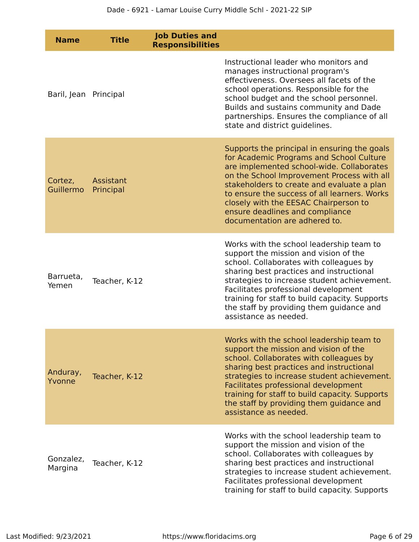| <b>Name</b>           | <b>Title</b>           | <b>Job Duties and</b><br><b>Responsibilities</b> |                                                                                                                                                                                                                                                                                                                                                                                                |
|-----------------------|------------------------|--------------------------------------------------|------------------------------------------------------------------------------------------------------------------------------------------------------------------------------------------------------------------------------------------------------------------------------------------------------------------------------------------------------------------------------------------------|
| Baril, Jean Principal |                        |                                                  | Instructional leader who monitors and<br>manages instructional program's<br>effectiveness. Oversees all facets of the<br>school operations. Responsible for the<br>school budget and the school personnel.<br>Builds and sustains community and Dade<br>partnerships. Ensures the compliance of all<br>state and district quidelines.                                                          |
| Cortez,<br>Guillermo  | Assistant<br>Principal |                                                  | Supports the principal in ensuring the goals<br>for Academic Programs and School Culture<br>are implemented school-wide. Collaborates<br>on the School Improvement Process with all<br>stakeholders to create and evaluate a plan<br>to ensure the success of all learners. Works<br>closely with the EESAC Chairperson to<br>ensure deadlines and compliance<br>documentation are adhered to. |
| Barrueta,<br>Yemen    | Teacher, K-12          |                                                  | Works with the school leadership team to<br>support the mission and vision of the<br>school. Collaborates with colleagues by<br>sharing best practices and instructional<br>strategies to increase student achievement.<br>Facilitates professional development<br>training for staff to build capacity. Supports<br>the staff by providing them guidance and<br>assistance as needed.         |
| Anduray,<br>Yvonne    | Teacher, K-12          |                                                  | Works with the school leadership team to<br>support the mission and vision of the<br>school. Collaborates with colleagues by<br>sharing best practices and instructional<br>strategies to increase student achievement.<br>Facilitates professional development<br>training for staff to build capacity. Supports<br>the staff by providing them guidance and<br>assistance as needed.         |
| Gonzalez,<br>Margina  | Teacher, K-12          |                                                  | Works with the school leadership team to<br>support the mission and vision of the<br>school. Collaborates with colleagues by<br>sharing best practices and instructional<br>strategies to increase student achievement.<br>Facilitates professional development<br>training for staff to build capacity. Supports                                                                              |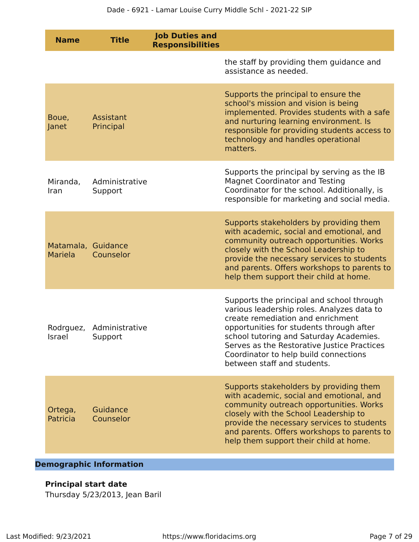| <b>Name</b>                          | <b>Title</b>              | <b>Job Duties and</b><br><b>Responsibilities</b> |                                                                                                                                                                                                                                                                                                                                            |
|--------------------------------------|---------------------------|--------------------------------------------------|--------------------------------------------------------------------------------------------------------------------------------------------------------------------------------------------------------------------------------------------------------------------------------------------------------------------------------------------|
|                                      |                           |                                                  | the staff by providing them guidance and<br>assistance as needed.                                                                                                                                                                                                                                                                          |
| Boue,<br>Janet                       | Assistant<br>Principal    |                                                  | Supports the principal to ensure the<br>school's mission and vision is being<br>implemented. Provides students with a safe<br>and nurturing learning environment. Is<br>responsible for providing students access to<br>technology and handles operational<br>matters.                                                                     |
| Miranda,<br>Iran                     | Administrative<br>Support |                                                  | Supports the principal by serving as the IB<br><b>Magnet Coordinator and Testing</b><br>Coordinator for the school. Additionally, is<br>responsible for marketing and social media.                                                                                                                                                        |
| Matamala, Guidance<br><b>Mariela</b> | Counselor                 |                                                  | Supports stakeholders by providing them<br>with academic, social and emotional, and<br>community outreach opportunities. Works<br>closely with the School Leadership to<br>provide the necessary services to students<br>and parents. Offers workshops to parents to<br>help them support their child at home.                             |
| Israel Support                       | Rodrguez, Administrative  |                                                  | Supports the principal and school through<br>various leadership roles. Analyzes data to<br>create remediation and enrichment<br>opportunities for students through after<br>school tutoring and Saturday Academies.<br>Serves as the Restorative Justice Practices<br>Coordinator to help build connections<br>between staff and students. |
| Ortega,<br>Patricia                  | Guidance<br>Counselor     |                                                  | Supports stakeholders by providing them<br>with academic, social and emotional, and<br>community outreach opportunities. Works<br>closely with the School Leadership to<br>provide the necessary services to students<br>and parents. Offers workshops to parents to<br>help them support their child at home.                             |

**Demographic Information**

#### **Principal start date**

Thursday 5/23/2013, Jean Baril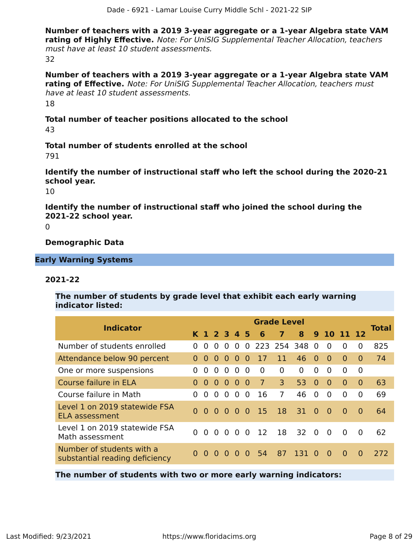**Number of teachers with a 2019 3-year aggregate or a 1-year Algebra state VAM rating of Highly Effective.** Note: For UniSIG Supplemental Teacher Allocation, teachers must have at least 10 student assessments. 32

**Number of teachers with a 2019 3-year aggregate or a 1-year Algebra state VAM rating of Effective.** Note: For UniSIG Supplemental Teacher Allocation, teachers must have at least 10 student assessments. 18

**Total number of teacher positions allocated to the school** 43

**Total number of students enrolled at the school**

791

**Identify the number of instructional staff who left the school during the 2020-21 school year.**

10

**Identify the number of instructional staff who joined the school during the 2021-22 school year.**

 $\Omega$ 

**Demographic Data**

**Early Warning Systems**

#### **2021-22**

**The number of students by grade level that exhibit each early warning indicator listed:**

| <b>Indicator</b>                                            |          |          |             |          |           |          |             | <b>Grade Level</b> |                |          |                |          |          | <b>Total</b> |
|-------------------------------------------------------------|----------|----------|-------------|----------|-----------|----------|-------------|--------------------|----------------|----------|----------------|----------|----------|--------------|
|                                                             |          |          | K 1 2 3 4 5 |          |           |          | 46          | $\overline{7}$     | 8 <sup>1</sup> |          | 9 10 11 12     |          |          |              |
| Number of students enrolled                                 | 0        | 0        | $\Omega$    | $\Omega$ | $\Omega$  | $\Omega$ | 223 254 348 |                    |                | - 0      | $\Omega$       | $\Omega$ | $\Omega$ | 825          |
| Attendance below 90 percent                                 |          | $\Omega$ | $\Omega$    | $\Omega$ | $\Omega$  | $\Omega$ | 17          | 11                 | 46             | $\Omega$ | $\Omega$       | $\Omega$ | $\Omega$ | 74           |
| One or more suspensions                                     | $\Omega$ | $\Omega$ | $\Omega$    | $\Omega$ | $\Omega$  | $\Omega$ | $\Omega$    | $\Omega$           | $\Omega$       | 0        | $\Omega$       | $\Omega$ | $\Omega$ |              |
| Course failure in ELA                                       | $\Omega$ | $\Omega$ | $\Omega$    | $\Omega$ | $\bullet$ | - 0      | $\sqrt{7}$  | 3 <sup>1</sup>     | 53             | $\Omega$ | $\overline{0}$ | $\Omega$ | $\Omega$ | 63           |
| Course failure in Math                                      | $\Omega$ | 0        | $\Omega$    | $\Omega$ | $\Omega$  | $\Omega$ | 16          | $\overline{7}$     | 46             | $\Omega$ | $\Omega$       | $\Omega$ | $\Omega$ | 69           |
| Level 1 on 2019 statewide FSA<br>ELA assessment             |          |          | 000000      |          |           |          | 15          | 18                 | 31             | $\Omega$ | $\Omega$       | $\Omega$ | $\Omega$ | 64           |
| Level 1 on 2019 statewide FSA<br>Math assessment            | 0        | $\Omega$ | $\Omega$    | $\Omega$ | $\Omega$  | $\Omega$ | 12          | 18                 | 32             | $\Omega$ | $\Omega$       | $\Omega$ | $\Omega$ | 62           |
| Number of students with a<br>substantial reading deficiency |          | $\Omega$ | $\Omega$    | $\Omega$ | $\Omega$  | $\Omega$ | -54         | 87                 | 131            | $\Omega$ | $\Omega$       | $\Omega$ | $\Omega$ | 272          |

**The number of students with two or more early warning indicators:**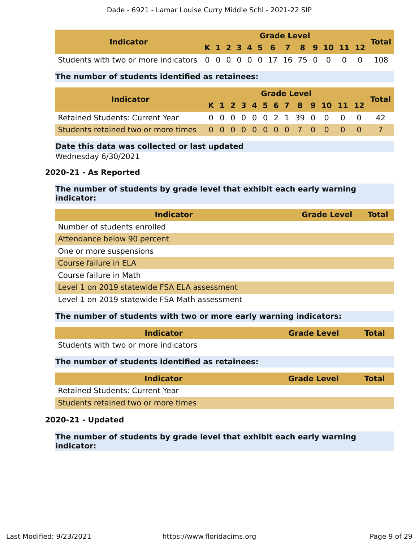|                                                                   |                                                                                                                                                       |                                                                             |  |                                                                                              |                                                 | 6 |             |                |                                                                                            |                     |                | Total                                                                                                                                                    |
|-------------------------------------------------------------------|-------------------------------------------------------------------------------------------------------------------------------------------------------|-----------------------------------------------------------------------------|--|----------------------------------------------------------------------------------------------|-------------------------------------------------|---|-------------|----------------|--------------------------------------------------------------------------------------------|---------------------|----------------|----------------------------------------------------------------------------------------------------------------------------------------------------------|
|                                                                   |                                                                                                                                                       |                                                                             |  |                                                                                              |                                                 |   |             |                | $\overline{0}$                                                                             | $\Omega$            | $\overline{0}$ | 108                                                                                                                                                      |
|                                                                   |                                                                                                                                                       |                                                                             |  |                                                                                              |                                                 |   |             |                |                                                                                            |                     |                |                                                                                                                                                          |
|                                                                   |                                                                                                                                                       |                                                                             |  |                                                                                              |                                                 |   |             |                |                                                                                            |                     |                |                                                                                                                                                          |
|                                                                   |                                                                                                                                                       |                                                                             |  |                                                                                              |                                                 |   |             |                |                                                                                            |                     | 12             | <b>Total</b>                                                                                                                                             |
| <b>Retained Students: Current Year</b>                            |                                                                                                                                                       |                                                                             |  |                                                                                              |                                                 |   |             |                | $\overline{0}$                                                                             | $\overline{0}$      | $\overline{0}$ | 42                                                                                                                                                       |
|                                                                   |                                                                                                                                                       |                                                                             |  |                                                                                              |                                                 |   |             |                |                                                                                            |                     | $\overline{0}$ | $\overline{7}$                                                                                                                                           |
|                                                                   |                                                                                                                                                       |                                                                             |  |                                                                                              |                                                 |   |             |                |                                                                                            |                     |                |                                                                                                                                                          |
|                                                                   |                                                                                                                                                       |                                                                             |  |                                                                                              |                                                 |   |             |                |                                                                                            |                     |                |                                                                                                                                                          |
|                                                                   |                                                                                                                                                       |                                                                             |  |                                                                                              |                                                 |   |             |                |                                                                                            |                     |                |                                                                                                                                                          |
|                                                                   |                                                                                                                                                       |                                                                             |  |                                                                                              |                                                 |   |             |                |                                                                                            |                     |                |                                                                                                                                                          |
|                                                                   |                                                                                                                                                       |                                                                             |  |                                                                                              |                                                 |   |             |                |                                                                                            |                     |                |                                                                                                                                                          |
| <b>Indicator</b>                                                  |                                                                                                                                                       |                                                                             |  |                                                                                              |                                                 |   |             |                |                                                                                            |                     |                | <b>Total</b>                                                                                                                                             |
| Number of students enrolled                                       |                                                                                                                                                       |                                                                             |  |                                                                                              |                                                 |   |             |                |                                                                                            |                     |                |                                                                                                                                                          |
| Attendance below 90 percent                                       |                                                                                                                                                       |                                                                             |  |                                                                                              |                                                 |   |             |                |                                                                                            |                     |                |                                                                                                                                                          |
| One or more suspensions                                           |                                                                                                                                                       |                                                                             |  |                                                                                              |                                                 |   |             |                |                                                                                            |                     |                |                                                                                                                                                          |
|                                                                   |                                                                                                                                                       |                                                                             |  |                                                                                              |                                                 |   |             |                |                                                                                            |                     |                |                                                                                                                                                          |
|                                                                   |                                                                                                                                                       |                                                                             |  |                                                                                              |                                                 |   |             |                |                                                                                            |                     |                |                                                                                                                                                          |
| Level 1 on 2019 statewide FSA Math assessment                     |                                                                                                                                                       |                                                                             |  |                                                                                              |                                                 |   |             |                |                                                                                            |                     |                |                                                                                                                                                          |
|                                                                   |                                                                                                                                                       |                                                                             |  |                                                                                              |                                                 |   |             |                |                                                                                            |                     |                |                                                                                                                                                          |
|                                                                   |                                                                                                                                                       |                                                                             |  |                                                                                              |                                                 |   |             |                |                                                                                            |                     |                |                                                                                                                                                          |
| The number of students with two or more early warning indicators: |                                                                                                                                                       |                                                                             |  |                                                                                              |                                                 |   |             |                |                                                                                            |                     |                |                                                                                                                                                          |
| <b>Indicator</b>                                                  |                                                                                                                                                       |                                                                             |  |                                                                                              |                                                 |   |             |                | <b>Grade Level</b>                                                                         |                     |                | <b>Total</b>                                                                                                                                             |
| Students with two or more indicators                              |                                                                                                                                                       |                                                                             |  |                                                                                              |                                                 |   |             |                |                                                                                            |                     |                |                                                                                                                                                          |
| The number of students identified as retainees:                   |                                                                                                                                                       |                                                                             |  |                                                                                              |                                                 |   |             |                |                                                                                            |                     |                |                                                                                                                                                          |
| <b>Indicator</b>                                                  |                                                                                                                                                       |                                                                             |  |                                                                                              |                                                 |   |             |                | <b>Grade Level</b>                                                                         |                     |                | <b>Total</b>                                                                                                                                             |
| <b>Retained Students: Current Year</b>                            |                                                                                                                                                       |                                                                             |  |                                                                                              |                                                 |   |             |                |                                                                                            |                     |                |                                                                                                                                                          |
|                                                                   | <b>Indicator</b><br><b>Indicator</b><br>Wednesday 6/30/2021<br>2020-21 - As Reported<br>indicator:<br>Course failure in ELA<br>Course failure in Math | Students with two or more indicators<br>Students retained two or more times |  | Date this data was collected or last updated<br>Level 1 on 2019 statewide FSA ELA assessment | The number of students identified as retainees: |   | K 1 2 3 4 5 | 7 <sup>7</sup> | <b>Grade Level</b><br>0 0 0 0 0 0 17 16 75 0<br><b>Grade Level</b><br>0 0 0 0 0 0 2 1 39 0 | 0 0 0 0 0 0 0 0 7 0 | 0              | 8 9 10 11 12<br>K 1 2 3 4 5 6 7 8 9 10 11<br>$\mathbf{0}$<br>The number of students by grade level that exhibit each early warning<br><b>Grade Level</b> |

#### **2020-21 - Updated**

**The number of students by grade level that exhibit each early warning indicator:**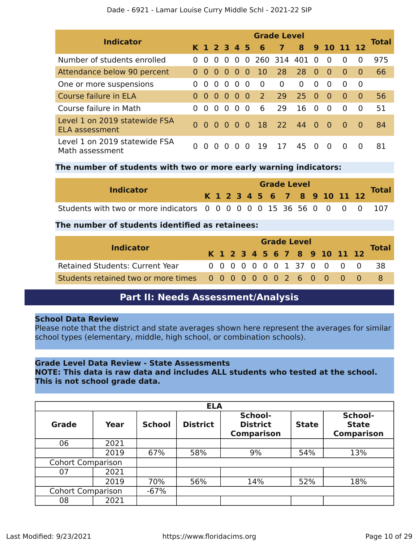| <b>Indicator</b>                                       |          |          |             |          |          |          |               | <b>Grade Level</b> |          |          |          |            |          | <b>Total</b> |
|--------------------------------------------------------|----------|----------|-------------|----------|----------|----------|---------------|--------------------|----------|----------|----------|------------|----------|--------------|
|                                                        |          |          | K 1 2 3 4 5 |          |          |          | - 6           | $\overline{7}$     | 8        |          |          | 9 10 11 12 |          |              |
| Number of students enrolled                            | 0        | $\Omega$ | $\Omega$    | - 0      | $\Omega$ |          | 0 260 314 401 |                    |          | $\Omega$ | $\Omega$ | $\Omega$   | $\Omega$ | 975          |
| Attendance below 90 percent                            | $\Omega$ | 0        | $\Omega$    | - 0      | $\Omega$ | 0        | <sup>10</sup> | 28                 | 28       | $\Omega$ | - 0      | $\Omega$   | $\Omega$ | 66           |
| One or more suspensions                                | 0        | $\Omega$ | $\Omega$    | - 0      | $\Omega$ | $\Omega$ | $\Omega$      | $\Omega$           | $\Omega$ | $\Omega$ | $\Omega$ | $\Omega$   | $\Omega$ |              |
| Course failure in ELA                                  | $\Omega$ | $\Omega$ | $\Omega$    | - 0      | $\Omega$ | - 0      | 2             | 29                 | 25       | $\Omega$ | $\Omega$ | $\Omega$   | $\Omega$ | 56           |
| Course failure in Math                                 | $\Omega$ | $\Omega$ | 0           | $\Omega$ | $\Omega$ | $\Omega$ | 6             | 29                 | 16       | $\Omega$ | $\Omega$ | $\Omega$   | $\Omega$ | 51           |
| Level 1 on 2019 statewide FSA<br><b>ELA assessment</b> | $\Omega$ | - റ      | 000         |          |          | - 0      | <sup>18</sup> | <b>22</b>          | 44       | $\Omega$ | - 0      | - 0        | $\Omega$ | 84           |
| Level 1 on 2019 statewide FSA<br>Math assessment       | 0        | $\Omega$ | $\Omega$    | $\Omega$ |          | 0        | 19            | 17                 | 45       | $\Omega$ | $\Omega$ | $\Omega$   | $\Omega$ | 81           |

#### Dade - 6921 - Lamar Louise Curry Middle Schl - 2021-22 SIP

#### **The number of students with two or more early warning indicators:**

|                                                                       | <b>Grade Level</b> |  |  |  |  |  |  |  |  |  |  |  |                              |              |
|-----------------------------------------------------------------------|--------------------|--|--|--|--|--|--|--|--|--|--|--|------------------------------|--------------|
| <b>Indicator</b>                                                      |                    |  |  |  |  |  |  |  |  |  |  |  | K 1 2 3 4 5 6 7 8 9 10 11 12 | <b>Total</b> |
| Students with two or more indicators 0 0 0 0 0 0 15 36 56 0 0 0 0 107 |                    |  |  |  |  |  |  |  |  |  |  |  |                              |              |

#### **The number of students identified as retainees:**

| <b>Indicator</b>                                                |  | <b>Grade Level</b> |  |  |  |  |  |  |  |  |  |                              |                            |              |
|-----------------------------------------------------------------|--|--------------------|--|--|--|--|--|--|--|--|--|------------------------------|----------------------------|--------------|
|                                                                 |  |                    |  |  |  |  |  |  |  |  |  | K 1 2 3 4 5 6 7 8 9 10 11 12 |                            | <b>Total</b> |
| <b>Retained Students: Current Year</b>                          |  |                    |  |  |  |  |  |  |  |  |  |                              | 0 0 0 0 0 0 0 1 37 0 0 0 0 | - 38         |
| Students retained two or more times 0 0 0 0 0 0 0 2 6 0 0 0 0 0 |  |                    |  |  |  |  |  |  |  |  |  |                              |                            |              |

### **Part II: Needs Assessment/Analysis**

#### <span id="page-9-0"></span>**School Data Review**

Please note that the district and state averages shown here represent the averages for similar school types (elementary, middle, high school, or combination schools).

#### **Grade Level Data Review - State Assessments**

**NOTE: This data is raw data and includes ALL students who tested at the school. This is not school grade data.**

|                          | <b>ELA</b> |               |                 |                                                 |              |                                              |  |  |  |  |  |  |  |
|--------------------------|------------|---------------|-----------------|-------------------------------------------------|--------------|----------------------------------------------|--|--|--|--|--|--|--|
| <b>Grade</b>             | Year       | <b>School</b> | <b>District</b> | School-<br><b>District</b><br><b>Comparison</b> | <b>State</b> | School-<br><b>State</b><br><b>Comparison</b> |  |  |  |  |  |  |  |
| 06                       | 2021       |               |                 |                                                 |              |                                              |  |  |  |  |  |  |  |
|                          | 2019       | 67%           | 58%             | 9%                                              | 54%          | 13%                                          |  |  |  |  |  |  |  |
| <b>Cohort Comparison</b> |            |               |                 |                                                 |              |                                              |  |  |  |  |  |  |  |
| 07                       | 2021       |               |                 |                                                 |              |                                              |  |  |  |  |  |  |  |
|                          | 2019       | 70%           | 56%             | 14%                                             | 52%          | 18%                                          |  |  |  |  |  |  |  |
| <b>Cohort Comparison</b> |            | $-67%$        |                 |                                                 |              |                                              |  |  |  |  |  |  |  |
| 08                       | 2021       |               |                 |                                                 |              |                                              |  |  |  |  |  |  |  |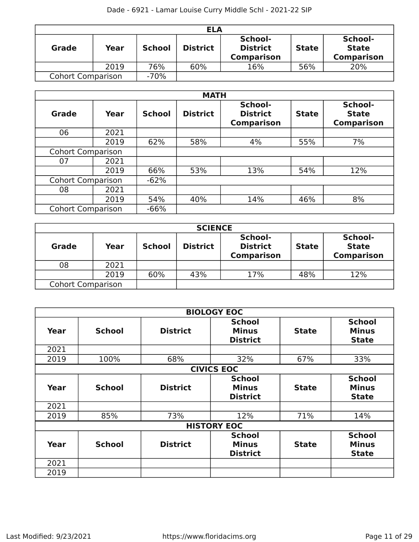|                          | <b>ELA</b> |               |                 |                                                 |              |                                              |  |  |  |  |  |  |  |
|--------------------------|------------|---------------|-----------------|-------------------------------------------------|--------------|----------------------------------------------|--|--|--|--|--|--|--|
| <b>Grade</b>             | Year       | <b>School</b> | <b>District</b> | School-<br><b>District</b><br><b>Comparison</b> | <b>State</b> | School-<br><b>State</b><br><b>Comparison</b> |  |  |  |  |  |  |  |
|                          | 2019       | 76%           | 60%             | 16%                                             | 56%          | 20%                                          |  |  |  |  |  |  |  |
| <b>Cohort Comparison</b> |            | $-70%$        |                 |                                                 |              |                                              |  |  |  |  |  |  |  |

|                          | <b>MATH</b> |               |                 |                                                 |              |                                              |  |  |  |  |  |  |  |  |
|--------------------------|-------------|---------------|-----------------|-------------------------------------------------|--------------|----------------------------------------------|--|--|--|--|--|--|--|--|
| <b>Grade</b>             | Year        | <b>School</b> | <b>District</b> | School-<br><b>District</b><br><b>Comparison</b> | <b>State</b> | School-<br><b>State</b><br><b>Comparison</b> |  |  |  |  |  |  |  |  |
| 06                       | 2021        |               |                 |                                                 |              |                                              |  |  |  |  |  |  |  |  |
|                          | 2019        | 62%           | 58%             | 4%                                              | 55%          | 7%                                           |  |  |  |  |  |  |  |  |
| <b>Cohort Comparison</b> |             |               |                 |                                                 |              |                                              |  |  |  |  |  |  |  |  |
| 07                       | 2021        |               |                 |                                                 |              |                                              |  |  |  |  |  |  |  |  |
|                          | 2019        | 66%           | 53%             | 13%                                             | 54%          | 12%                                          |  |  |  |  |  |  |  |  |
| <b>Cohort Comparison</b> |             | $-62%$        |                 |                                                 |              |                                              |  |  |  |  |  |  |  |  |
| 08                       | 2021        |               |                 |                                                 |              |                                              |  |  |  |  |  |  |  |  |
|                          | 2019        | 54%           | 40%             | 14%                                             | 46%          | 8%                                           |  |  |  |  |  |  |  |  |
| <b>Cohort Comparison</b> |             | $-66%$        |                 |                                                 |              |                                              |  |  |  |  |  |  |  |  |

| <b>SCIENCE</b>           |      |               |                 |                                                 |              |                                              |  |  |
|--------------------------|------|---------------|-----------------|-------------------------------------------------|--------------|----------------------------------------------|--|--|
| <b>Grade</b>             | Year | <b>School</b> | <b>District</b> | School-<br><b>District</b><br><b>Comparison</b> | <b>State</b> | School-<br><b>State</b><br><b>Comparison</b> |  |  |
| 08                       | 2021 |               |                 |                                                 |              |                                              |  |  |
|                          | 2019 | 60%           | 43%             | 17%                                             | 48%          | 12%                                          |  |  |
| <b>Cohort Comparison</b> |      |               |                 |                                                 |              |                                              |  |  |

|      |                   |                 | <b>BIOLOGY EOC</b>                               |              |                                               |  |  |  |  |
|------|-------------------|-----------------|--------------------------------------------------|--------------|-----------------------------------------------|--|--|--|--|
| Year | <b>School</b>     | <b>District</b> | <b>School</b><br><b>Minus</b><br><b>District</b> | <b>State</b> | <b>School</b><br><b>Minus</b><br><b>State</b> |  |  |  |  |
| 2021 |                   |                 |                                                  |              |                                               |  |  |  |  |
| 2019 | 100%              | 68%             | 32%                                              | 67%          | 33%                                           |  |  |  |  |
|      | <b>CIVICS EOC</b> |                 |                                                  |              |                                               |  |  |  |  |
| Year | <b>School</b>     | <b>District</b> | <b>School</b><br><b>Minus</b><br><b>District</b> | <b>State</b> | <b>School</b><br><b>Minus</b><br><b>State</b> |  |  |  |  |
| 2021 |                   |                 |                                                  |              |                                               |  |  |  |  |
| 2019 | 85%               | 73%             | 12%                                              | 71%          | 14%                                           |  |  |  |  |
|      |                   |                 | <b>HISTORY EOC</b>                               |              |                                               |  |  |  |  |
| Year | <b>School</b>     | <b>District</b> | <b>School</b><br><b>Minus</b><br><b>District</b> | <b>State</b> | <b>School</b><br><b>Minus</b><br><b>State</b> |  |  |  |  |
| 2021 |                   |                 |                                                  |              |                                               |  |  |  |  |
| 2019 |                   |                 |                                                  |              |                                               |  |  |  |  |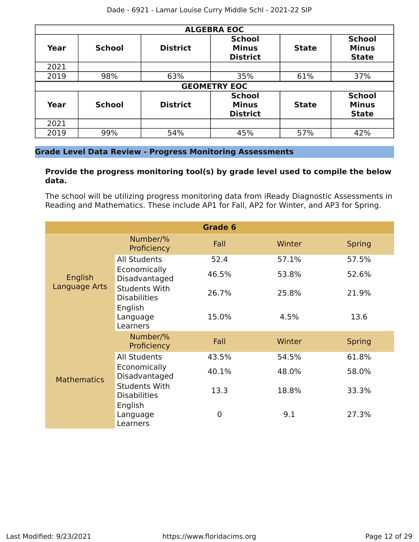| <b>ALGEBRA EOC</b> |               |                 |                                                  |              |                                               |  |  |  |
|--------------------|---------------|-----------------|--------------------------------------------------|--------------|-----------------------------------------------|--|--|--|
| Year               | <b>School</b> | <b>District</b> | <b>School</b><br><b>Minus</b><br><b>District</b> | <b>State</b> | <b>School</b><br><b>Minus</b><br><b>State</b> |  |  |  |
| 2021               |               |                 |                                                  |              |                                               |  |  |  |
| 2019               | 98%           | 63%             | 35%                                              | 61%          | 37%                                           |  |  |  |
|                    |               |                 | <b>GEOMETRY EOC</b>                              |              |                                               |  |  |  |
| Year               | <b>School</b> | <b>District</b> | <b>School</b><br><b>Minus</b><br><b>District</b> | <b>State</b> | <b>School</b><br><b>Minus</b><br><b>State</b> |  |  |  |
| 2021               |               |                 |                                                  |              |                                               |  |  |  |
| 2019               | 99%           | 54%             | 45%                                              | 57%          | 42%                                           |  |  |  |

#### **Grade Level Data Review - Progress Monitoring Assessments**

#### **Provide the progress monitoring tool(s) by grade level used to compile the below data.**

The school will be utilizing progress monitoring data from iReady Diagnostic Assessments in Reading and Mathematics. These include AP1 for Fall, AP2 for Winter, and AP3 for Spring.

|                          |                                             | Grade 6 |        |               |
|--------------------------|---------------------------------------------|---------|--------|---------------|
|                          | Number/%<br>Proficiency                     | Fall    | Winter | <b>Spring</b> |
|                          | <b>All Students</b>                         | 52.4    | 57.1%  | 57.5%         |
| English<br>Language Arts | Economically<br>Disadvantaged               | 46.5%   | 53.8%  | 52.6%         |
|                          | <b>Students With</b><br><b>Disabilities</b> | 26.7%   | 25.8%  | 21.9%         |
|                          | English<br>Language<br>Learners             | 15.0%   | 4.5%   | 13.6          |
|                          | Number/%<br>Proficiency                     | Fall    | Winter | <b>Spring</b> |
|                          | <b>All Students</b>                         | 43.5%   | 54.5%  | 61.8%         |
| <b>Mathematics</b>       | Economically<br>Disadvantaged               | 40.1%   | 48.0%  | 58.0%         |
|                          | <b>Students With</b><br><b>Disabilities</b> | 13.3    | 18.8%  | 33.3%         |
|                          | English<br>Language<br>Learners             | 0       | 9.1    | 27.3%         |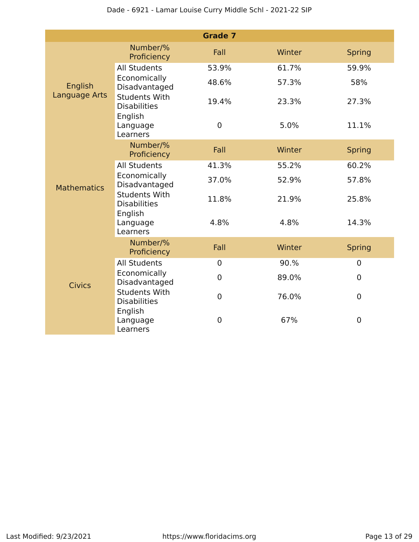|                                 |                                             | <b>Grade 7</b> |        |                |
|---------------------------------|---------------------------------------------|----------------|--------|----------------|
|                                 | Number/%<br>Proficiency                     | Fall           | Winter | <b>Spring</b>  |
| English<br><b>Language Arts</b> | <b>All Students</b>                         | 53.9%          | 61.7%  | 59.9%          |
|                                 | Economically<br>Disadvantaged               | 48.6%          | 57.3%  | 58%            |
|                                 | <b>Students With</b><br><b>Disabilities</b> | 19.4%          | 23.3%  | 27.3%          |
|                                 | English<br>Language<br>Learners             | $\pmb{0}$      | 5.0%   | 11.1%          |
| <b>Mathematics</b>              | Number/%<br>Proficiency                     | Fall           | Winter | <b>Spring</b>  |
|                                 | <b>All Students</b>                         | 41.3%          | 55.2%  | 60.2%          |
|                                 | Economically<br>Disadvantaged               | 37.0%          | 52.9%  | 57.8%          |
|                                 | <b>Students With</b><br><b>Disabilities</b> | 11.8%          | 21.9%  | 25.8%          |
|                                 | English<br>Language<br>Learners             | 4.8%           | 4.8%   | 14.3%          |
|                                 | Number/%<br>Proficiency                     | Fall           | Winter | <b>Spring</b>  |
|                                 | <b>All Students</b>                         | $\mathbf 0$    | 90.%   | $\overline{0}$ |
| <b>Civics</b>                   | Economically<br>Disadvantaged               | $\mathbf 0$    | 89.0%  | $\overline{0}$ |
|                                 | <b>Students With</b><br><b>Disabilities</b> | $\mathbf 0$    | 76.0%  | $\mathbf 0$    |
|                                 | English<br>Language<br>Learners             | $\mathbf 0$    | 67%    | $\mathbf 0$    |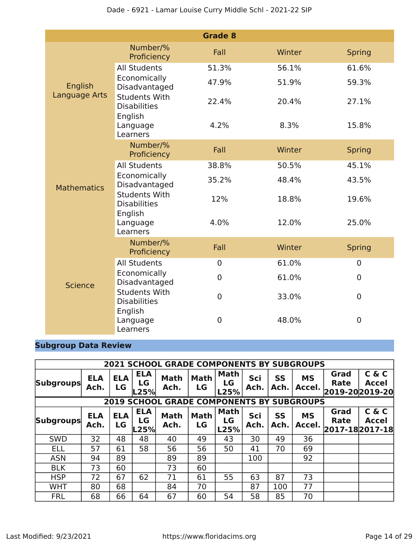|                    |                                             | <b>Grade 8</b> |        |                  |
|--------------------|---------------------------------------------|----------------|--------|------------------|
|                    | Number/%<br>Proficiency                     | Fall           | Winter | <b>Spring</b>    |
| English            | <b>All Students</b>                         | 51.3%          | 56.1%  | 61.6%            |
|                    | Economically<br>Disadvantaged               | 47.9%          | 51.9%  | 59.3%            |
| Language Arts      | <b>Students With</b><br><b>Disabilities</b> | 22.4%          | 20.4%  | 27.1%            |
|                    | English<br>Language<br>Learners             | 4.2%           | 8.3%   | 15.8%            |
| <b>Mathematics</b> | Number/%<br>Proficiency                     | Fall           | Winter | <b>Spring</b>    |
|                    | <b>All Students</b>                         | 38.8%          | 50.5%  | 45.1%            |
|                    | Economically<br>Disadvantaged               | 35.2%          | 48.4%  | 43.5%            |
|                    | <b>Students With</b><br><b>Disabilities</b> | 12%            | 18.8%  | 19.6%            |
|                    | English<br>Language<br>Learners             | 4.0%           | 12.0%  | 25.0%            |
|                    | Number/%<br>Proficiency                     | Fall           | Winter | <b>Spring</b>    |
|                    | <b>All Students</b>                         | $\mathbf 0$    | 61.0%  | $\mathbf 0$      |
| <b>Science</b>     | Economically<br>Disadvantaged               | 0              | 61.0%  | 0                |
|                    | <b>Students With</b><br><b>Disabilities</b> | $\mathbf 0$    | 33.0%  | $\boldsymbol{0}$ |
|                    | English<br>Language<br>Learners             | 0              | 48.0%  | 0                |

### **Subgroup Data Review**

|                  |                    |                                              |                          | <b>2021 SCHOOL GRADE COMPONENTS BY SUBGROUPS</b> |                   |                           |             |                   |                     |                                 |                       |
|------------------|--------------------|----------------------------------------------|--------------------------|--------------------------------------------------|-------------------|---------------------------|-------------|-------------------|---------------------|---------------------------------|-----------------------|
|                  | <b>ELA</b>         | <b>ELA</b>                                   | <b>ELA</b>               | <b>Math</b>                                      | <b>Math</b>       | Math                      | Sci         | <b>SS</b>         | <b>MS</b>           | Grad                            | C & C                 |
| <b>Subgroups</b> |                    | LG<br>LG<br>LG<br>Ach.<br>LG<br>Ach.<br>Ach. |                          |                                                  |                   |                           |             | Ach.              | Accel.              | Rate                            | <b>Accel</b>          |
|                  |                    |                                              | L25%                     |                                                  |                   | L25%                      |             |                   |                     | 2019-20 2019-20                 |                       |
|                  |                    |                                              |                          | <b>2019 SCHOOL GRADE COMPONENTS BY SUBGROUPS</b> |                   |                           |             |                   |                     |                                 |                       |
| <b>Subgroups</b> | <b>ELA</b><br>Ach. | <b>ELA</b><br>LG                             | <b>ELA</b><br>LG<br>L25% | <b>Math</b><br>Ach.                              | <b>Math</b><br>LG | <b>Math</b><br>LG<br>L25% | Sci<br>Ach. | <b>SS</b><br>Ach. | <b>MS</b><br>Accel. | Grad<br>Rate<br>2017-18 2017-18 | C & C<br><b>Accel</b> |
| <b>SWD</b>       | 32                 | 48                                           | 48                       | 40                                               | 49                | 43                        | 30          | 49                | 36                  |                                 |                       |
| <b>ELL</b>       | 57                 | 61                                           | 58                       | 56                                               | 56                | 50                        | 41          | 70                | 69                  |                                 |                       |
| <b>ASN</b>       | 94                 | 89                                           |                          | 89                                               | 89                |                           | 100         |                   | 92                  |                                 |                       |
| <b>BLK</b>       | 73                 | 60                                           |                          | 73                                               | 60                |                           |             |                   |                     |                                 |                       |
| <b>HSP</b>       | 72                 | 67                                           | 62                       | 71                                               | 61                | 55                        | 63          | 87                | 73                  |                                 |                       |
| <b>WHT</b>       | 80                 | 68                                           |                          | 84                                               | 70                |                           | 87          | 100               | 77                  |                                 |                       |
| <b>FRL</b>       | 68                 | 66                                           | 64                       | 67                                               | 60                | 54                        | 58          | 85                | 70                  |                                 |                       |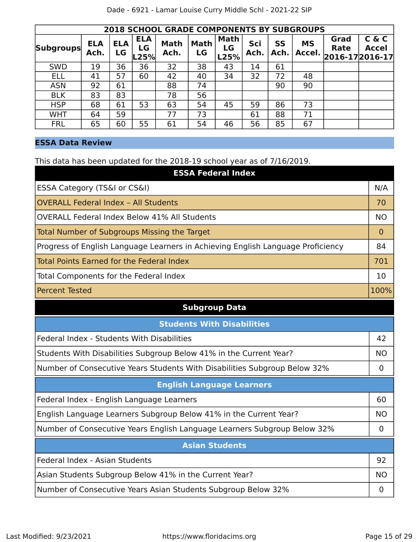|                  | <b>2018 SCHOOL GRADE COMPONENTS BY SUBGROUPS</b> |                  |                          |                     |                   |                           |             |                   |                     |                                        |                       |  |
|------------------|--------------------------------------------------|------------------|--------------------------|---------------------|-------------------|---------------------------|-------------|-------------------|---------------------|----------------------------------------|-----------------------|--|
| <b>Subgroups</b> | <b>ELA</b><br>Ach.                               | <b>ELA</b><br>LG | <b>ELA</b><br>LG<br>L25% | <b>Math</b><br>Ach. | <b>Math</b><br>LG | <b>Math</b><br>LG<br>L25% | Sci<br>Ach. | <b>SS</b><br>Ach. | <b>MS</b><br>Accel. | Grad<br><b>Rate</b><br>2016-17 2016-17 | C & C<br><b>Accel</b> |  |
| <b>SWD</b>       | 19                                               | 36               | 36                       | 32                  | 38                | 43                        | 14          | 61                |                     |                                        |                       |  |
| <b>ELL</b>       | 41                                               | 57               | 60                       | 42                  | 40                | 34                        | 32          | 72                | 48                  |                                        |                       |  |
| <b>ASN</b>       | 92                                               | 61               |                          | 88                  | 74                |                           |             | 90                | 90                  |                                        |                       |  |
| <b>BLK</b>       | 83                                               | 83               |                          | 78                  | 56                |                           |             |                   |                     |                                        |                       |  |
| <b>HSP</b>       | 68                                               | 61               | 53                       | 63                  | 54                | 45                        | 59          | 86                | 73                  |                                        |                       |  |
| <b>WHT</b>       | 64                                               | 59               |                          | 77                  | 73                |                           | 61          | 88                | 71                  |                                        |                       |  |
| <b>FRL</b>       | 65                                               | 60               | 55                       | 61                  | 54                | 46                        | 56          | 85                | 67                  |                                        |                       |  |

#### **ESSA Data Review**

This data has been updated for the 2018-19 school year as of 7/16/2019.

| <b>ESSA Federal Index</b>                                                       |                |
|---------------------------------------------------------------------------------|----------------|
| ESSA Category (TS&I or CS&I)                                                    | N/A            |
| <b>OVERALL Federal Index - All Students</b>                                     | 70             |
| <b>OVERALL Federal Index Below 41% All Students</b>                             | <b>NO</b>      |
| Total Number of Subgroups Missing the Target                                    | $\overline{0}$ |
| Progress of English Language Learners in Achieving English Language Proficiency | 84             |
| Total Points Earned for the Federal Index                                       | 701            |
| Total Components for the Federal Index                                          | 10             |
| <b>Percent Tested</b>                                                           | 100%           |

#### **Subgroup Data**

| <b>Students With Disabilities</b>                                         |           |  |  |  |  |
|---------------------------------------------------------------------------|-----------|--|--|--|--|
| Federal Index - Students With Disabilities                                | 42        |  |  |  |  |
| Students With Disabilities Subgroup Below 41% in the Current Year?        | <b>NO</b> |  |  |  |  |
| Number of Consecutive Years Students With Disabilities Subgroup Below 32% |           |  |  |  |  |
| <b>English Language Learners</b>                                          |           |  |  |  |  |
| Federal Index - English Language Learners                                 | 60        |  |  |  |  |
| English Language Learners Subgroup Below 41% in the Current Year?         | <b>NO</b> |  |  |  |  |
| Number of Consecutive Years English Language Learners Subgroup Below 32%  |           |  |  |  |  |
| <b>Asian Students</b>                                                     |           |  |  |  |  |
| Federal Index - Asian Students                                            | 92        |  |  |  |  |
| Asian Students Subgroup Below 41% in the Current Year?                    | <b>NO</b> |  |  |  |  |
| Number of Consecutive Years Asian Students Subgroup Below 32%             |           |  |  |  |  |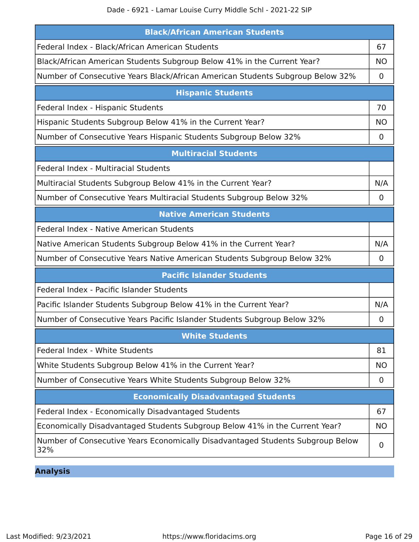Dade - 6921 - Lamar Louise Curry Middle Schl - 2021-22 SIP

| <b>Black/African American Students</b>                                                |             |  |  |  |  |
|---------------------------------------------------------------------------------------|-------------|--|--|--|--|
| Federal Index - Black/African American Students                                       | 67          |  |  |  |  |
| Black/African American Students Subgroup Below 41% in the Current Year?               |             |  |  |  |  |
| Number of Consecutive Years Black/African American Students Subgroup Below 32%        | 0           |  |  |  |  |
| <b>Hispanic Students</b>                                                              |             |  |  |  |  |
| Federal Index - Hispanic Students                                                     | 70          |  |  |  |  |
| Hispanic Students Subgroup Below 41% in the Current Year?                             | <b>NO</b>   |  |  |  |  |
| Number of Consecutive Years Hispanic Students Subgroup Below 32%                      | $\mathbf 0$ |  |  |  |  |
| <b>Multiracial Students</b>                                                           |             |  |  |  |  |
| Federal Index - Multiracial Students                                                  |             |  |  |  |  |
| Multiracial Students Subgroup Below 41% in the Current Year?                          | N/A         |  |  |  |  |
| Number of Consecutive Years Multiracial Students Subgroup Below 32%                   | 0           |  |  |  |  |
| <b>Native American Students</b>                                                       |             |  |  |  |  |
| Federal Index - Native American Students                                              |             |  |  |  |  |
| Native American Students Subgroup Below 41% in the Current Year?                      | N/A         |  |  |  |  |
| Number of Consecutive Years Native American Students Subgroup Below 32%               | 0           |  |  |  |  |
| <b>Pacific Islander Students</b>                                                      |             |  |  |  |  |
| Federal Index - Pacific Islander Students                                             |             |  |  |  |  |
| Pacific Islander Students Subgroup Below 41% in the Current Year?                     | N/A         |  |  |  |  |
| Number of Consecutive Years Pacific Islander Students Subgroup Below 32%              | 0           |  |  |  |  |
| <b>White Students</b>                                                                 |             |  |  |  |  |
| Federal Index - White Students                                                        | 81          |  |  |  |  |
| White Students Subgroup Below 41% in the Current Year?                                | NO.         |  |  |  |  |
| Number of Consecutive Years White Students Subgroup Below 32%                         | $\mathbf 0$ |  |  |  |  |
| <b>Economically Disadvantaged Students</b>                                            |             |  |  |  |  |
| Federal Index - Economically Disadvantaged Students                                   | 67          |  |  |  |  |
| Economically Disadvantaged Students Subgroup Below 41% in the Current Year?           | <b>NO</b>   |  |  |  |  |
| Number of Consecutive Years Economically Disadvantaged Students Subgroup Below<br>32% | 0           |  |  |  |  |

**Analysis**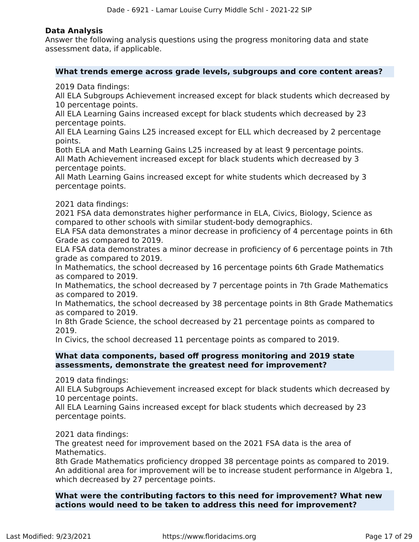#### **Data Analysis**

Answer the following analysis questions using the progress monitoring data and state assessment data, if applicable.

#### **What trends emerge across grade levels, subgroups and core content areas?**

2019 Data findings:

All ELA Subgroups Achievement increased except for black students which decreased by 10 percentage points.

All ELA Learning Gains increased except for black students which decreased by 23 percentage points.

All ELA Learning Gains L25 increased except for ELL which decreased by 2 percentage points.

Both ELA and Math Learning Gains L25 increased by at least 9 percentage points. All Math Achievement increased except for black students which decreased by 3 percentage points.

All Math Learning Gains increased except for white students which decreased by 3 percentage points.

#### 2021 data findings:

2021 FSA data demonstrates higher performance in ELA, Civics, Biology, Science as compared to other schools with similar student-body demographics.

ELA FSA data demonstrates a minor decrease in proficiency of 4 percentage points in 6th Grade as compared to 2019.

ELA FSA data demonstrates a minor decrease in proficiency of 6 percentage points in 7th grade as compared to 2019.

In Mathematics, the school decreased by 16 percentage points 6th Grade Mathematics as compared to 2019.

In Mathematics, the school decreased by 7 percentage points in 7th Grade Mathematics as compared to 2019.

In Mathematics, the school decreased by 38 percentage points in 8th Grade Mathematics as compared to 2019.

In 8th Grade Science, the school decreased by 21 percentage points as compared to 2019.

In Civics, the school decreased 11 percentage points as compared to 2019.

#### **What data components, based off progress monitoring and 2019 state assessments, demonstrate the greatest need for improvement?**

2019 data findings:

All ELA Subgroups Achievement increased except for black students which decreased by 10 percentage points.

All ELA Learning Gains increased except for black students which decreased by 23 percentage points.

#### 2021 data findings:

The greatest need for improvement based on the 2021 FSA data is the area of Mathematics.

8th Grade Mathematics proficiency dropped 38 percentage points as compared to 2019. An additional area for improvement will be to increase student performance in Algebra 1, which decreased by 27 percentage points.

**What were the contributing factors to this need for improvement? What new actions would need to be taken to address this need for improvement?**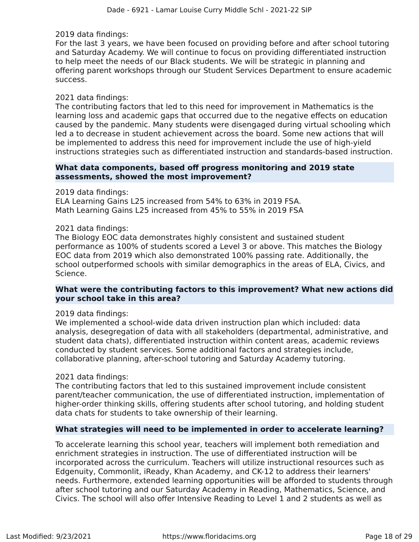2019 data findings:

For the last 3 years, we have been focused on providing before and after school tutoring and Saturday Academy. We will continue to focus on providing differentiated instruction to help meet the needs of our Black students. We will be strategic in planning and offering parent workshops through our Student Services Department to ensure academic success.

#### 2021 data findings:

The contributing factors that led to this need for improvement in Mathematics is the learning loss and academic gaps that occurred due to the negative effects on education caused by the pandemic. Many students were disengaged during virtual schooling which led a to decrease in student achievement across the board. Some new actions that will be implemented to address this need for improvement include the use of high-yield instructions strategies such as differentiated instruction and standards-based instruction.

#### **What data components, based off progress monitoring and 2019 state assessments, showed the most improvement?**

2019 data findings:

ELA Learning Gains L25 increased from 54% to 63% in 2019 FSA. Math Learning Gains L25 increased from 45% to 55% in 2019 FSA

#### 2021 data findings:

The Biology EOC data demonstrates highly consistent and sustained student performance as 100% of students scored a Level 3 or above. This matches the Biology EOC data from 2019 which also demonstrated 100% passing rate. Additionally, the school outperformed schools with similar demographics in the areas of ELA, Civics, and Science.

#### **What were the contributing factors to this improvement? What new actions did your school take in this area?**

2019 data findings:

We implemented a school-wide data driven instruction plan which included: data analysis, desegregation of data with all stakeholders (departmental, administrative, and student data chats), differentiated instruction within content areas, academic reviews conducted by student services. Some additional factors and strategies include, collaborative planning, after-school tutoring and Saturday Academy tutoring.

#### 2021 data findings:

The contributing factors that led to this sustained improvement include consistent parent/teacher communication, the use of differentiated instruction, implementation of higher-order thinking skills, offering students after school tutoring, and holding student data chats for students to take ownership of their learning.

#### **What strategies will need to be implemented in order to accelerate learning?**

To accelerate learning this school year, teachers will implement both remediation and enrichment strategies in instruction. The use of differentiated instruction will be incorporated across the curriculum. Teachers will utilize instructional resources such as Edgenuity, Commonlit, iReady, Khan Academy, and CK-12 to address their learners' needs. Furthermore, extended learning opportunities will be afforded to students through after school tutoring and our Saturday Academy in Reading, Mathematics, Science, and Civics. The school will also offer Intensive Reading to Level 1 and 2 students as well as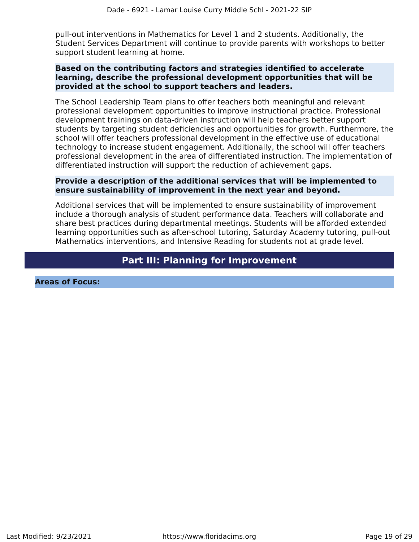pull-out interventions in Mathematics for Level 1 and 2 students. Additionally, the Student Services Department will continue to provide parents with workshops to better support student learning at home.

#### **Based on the contributing factors and strategies identified to accelerate learning, describe the professional development opportunities that will be provided at the school to support teachers and leaders.**

The School Leadership Team plans to offer teachers both meaningful and relevant professional development opportunities to improve instructional practice. Professional development trainings on data-driven instruction will help teachers better support students by targeting student deficiencies and opportunities for growth. Furthermore, the school will offer teachers professional development in the effective use of educational technology to increase student engagement. Additionally, the school will offer teachers professional development in the area of differentiated instruction. The implementation of differentiated instruction will support the reduction of achievement gaps.

#### **Provide a description of the additional services that will be implemented to ensure sustainability of improvement in the next year and beyond.**

Additional services that will be implemented to ensure sustainability of improvement include a thorough analysis of student performance data. Teachers will collaborate and share best practices during departmental meetings. Students will be afforded extended learning opportunities such as after-school tutoring, Saturday Academy tutoring, pull-out Mathematics interventions, and Intensive Reading for students not at grade level.

### **Part III: Planning for Improvement**

<span id="page-18-0"></span>**Areas of Focus:**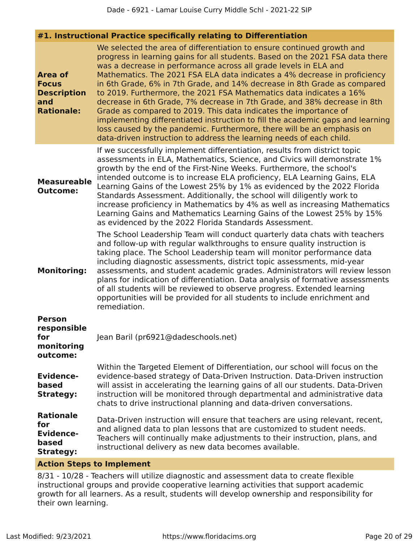| #1. Instructional Practice specifically relating to Differentiation |  |  |  |  |  |
|---------------------------------------------------------------------|--|--|--|--|--|
|---------------------------------------------------------------------|--|--|--|--|--|

| Area of<br><b>Focus</b><br><b>Description</b><br>and<br><b>Rationale:</b> | We selected the area of differentiation to ensure continued growth and<br>progress in learning gains for all students. Based on the 2021 FSA data there<br>was a decrease in performance across all grade levels in ELA and<br>Mathematics. The 2021 FSA ELA data indicates a 4% decrease in proficiency<br>in 6th Grade, 6% in 7th Grade, and 14% decrease in 8th Grade as compared<br>to 2019. Furthermore, the 2021 FSA Mathematics data indicates a 16%<br>decrease in 6th Grade, 7% decrease in 7th Grade, and 38% decrease in 8th<br>Grade as compared to 2019. This data indicates the importance of<br>implementing differentiated instruction to fill the academic gaps and learning<br>loss caused by the pandemic. Furthermore, there will be an emphasis on<br>data-driven instruction to address the learning needs of each child. |
|---------------------------------------------------------------------------|-------------------------------------------------------------------------------------------------------------------------------------------------------------------------------------------------------------------------------------------------------------------------------------------------------------------------------------------------------------------------------------------------------------------------------------------------------------------------------------------------------------------------------------------------------------------------------------------------------------------------------------------------------------------------------------------------------------------------------------------------------------------------------------------------------------------------------------------------|
| <b>Measureable</b><br><b>Outcome:</b>                                     | If we successfully implement differentiation, results from district topic<br>assessments in ELA, Mathematics, Science, and Civics will demonstrate 1%<br>growth by the end of the First-Nine Weeks. Furthermore, the school's<br>intended outcome is to increase ELA proficiency, ELA Learning Gains, ELA<br>Learning Gains of the Lowest 25% by 1% as evidenced by the 2022 Florida<br>Standards Assessment. Additionally, the school will diligently work to<br>increase proficiency in Mathematics by 4% as well as increasing Mathematics<br>Learning Gains and Mathematics Learning Gains of the Lowest 25% by 15%<br>as evidenced by the 2022 Florida Standards Assessment.                                                                                                                                                               |
| <b>Monitoring:</b>                                                        | The School Leadership Team will conduct quarterly data chats with teachers<br>and follow-up with regular walkthroughs to ensure quality instruction is<br>taking place. The School Leadership team will monitor performance data<br>including diagnostic assessments, district topic assessments, mid-year<br>assessments, and student academic grades. Administrators will review lesson<br>plans for indication of differentiation. Data analysis of formative assessments<br>of all students will be reviewed to observe progress. Extended learning<br>opportunities will be provided for all students to include enrichment and<br>remediation.                                                                                                                                                                                            |
| <b>Person</b><br>responsible<br>for<br>monitorina<br>outcome:             | Jean Baril (pr6921@dadeschools.net)                                                                                                                                                                                                                                                                                                                                                                                                                                                                                                                                                                                                                                                                                                                                                                                                             |
| <b>Evidence-</b><br>based<br><b>Strategy:</b>                             | Within the Targeted Element of Differentiation, our school will focus on the<br>evidence-based strategy of Data-Driven Instruction. Data-Driven instruction<br>will assist in accelerating the learning gains of all our students. Data-Driven<br>instruction will be monitored through departmental and administrative data<br>chats to drive instructional planning and data-driven conversations.                                                                                                                                                                                                                                                                                                                                                                                                                                            |
| <b>Rationale</b><br>for<br><b>Evidence-</b><br>based<br><b>Strategy:</b>  | Data-Driven instruction will ensure that teachers are using relevant, recent,<br>and aligned data to plan lessons that are customized to student needs.<br>Teachers will continually make adjustments to their instruction, plans, and<br>instructional delivery as new data becomes available.                                                                                                                                                                                                                                                                                                                                                                                                                                                                                                                                                 |
|                                                                           |                                                                                                                                                                                                                                                                                                                                                                                                                                                                                                                                                                                                                                                                                                                                                                                                                                                 |

#### **Action Steps to Implement**

8/31 - 10/28 - Teachers will utilize diagnostic and assessment data to create flexible instructional groups and provide cooperative learning activities that support academic growth for all learners. As a result, students will develop ownership and responsibility for their own learning.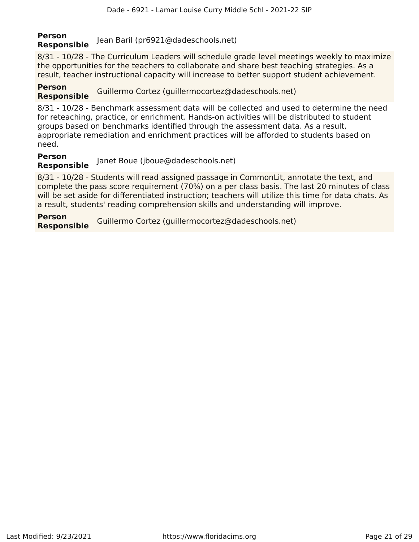# **Person Responsible** Jean Baril (pr6921@dadeschools.net)

8/31 - 10/28 - The Curriculum Leaders will schedule grade level meetings weekly to maximize the opportunities for the teachers to collaborate and share best teaching strategies. As a result, teacher instructional capacity will increase to better support student achievement.

#### **Person Responsible** Guillermo Cortez (guillermocortez@dadeschools.net)

8/31 - 10/28 - Benchmark assessment data will be collected and used to determine the need for reteaching, practice, or enrichment. Hands-on activities will be distributed to student groups based on benchmarks identified through the assessment data. As a result, appropriate remediation and enrichment practices will be afforded to students based on need.

#### **Person Responsible** Janet Boue (jboue@dadeschools.net)

8/31 - 10/28 - Students will read assigned passage in CommonLit, annotate the text, and complete the pass score requirement (70%) on a per class basis. The last 20 minutes of class will be set aside for differentiated instruction; teachers will utilize this time for data chats. As a result, students' reading comprehension skills and understanding will improve.

**Person Responsible** Guillermo Cortez (guillermocortez@dadeschools.net)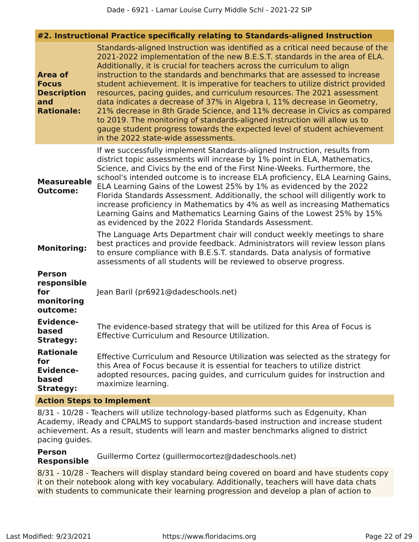| #2. Instructional Practice specifically relating to Standards-aligned Instruction |                                                                                                                                                                                                                                                                                                                                                                                                                                                                                                                                                                                                                                                                                                                                                                                                                                             |  |  |  |
|-----------------------------------------------------------------------------------|---------------------------------------------------------------------------------------------------------------------------------------------------------------------------------------------------------------------------------------------------------------------------------------------------------------------------------------------------------------------------------------------------------------------------------------------------------------------------------------------------------------------------------------------------------------------------------------------------------------------------------------------------------------------------------------------------------------------------------------------------------------------------------------------------------------------------------------------|--|--|--|
| <b>Area of</b><br><b>Focus</b><br><b>Description</b><br>and<br><b>Rationale:</b>  | Standards-aligned Instruction was identified as a critical need because of the<br>2021-2022 implementation of the new B.E.S.T. standards in the area of ELA.<br>Additionally, it is crucial for teachers across the curriculum to align<br>instruction to the standards and benchmarks that are assessed to increase<br>student achievement. It is imperative for teachers to utilize district provided<br>resources, pacing guides, and curriculum resources. The 2021 assessment<br>data indicates a decrease of 37% in Algebra I, 11% decrease in Geometry,<br>21% decrease in 8th Grade Science, and 11% decrease in Civics as compared<br>to 2019. The monitoring of standards-aligned instruction will allow us to<br>gauge student progress towards the expected level of student achievement<br>in the 2022 state-wide assessments. |  |  |  |
| <b>Measureable</b><br><b>Outcome:</b>                                             | If we successfully implement Standards-aligned Instruction, results from<br>district topic assessments will increase by 1% point in ELA, Mathematics,<br>Science, and Civics by the end of the First Nine-Weeks. Furthermore, the<br>school's intended outcome is to increase ELA proficiency, ELA Learning Gains,<br>ELA Learning Gains of the Lowest 25% by 1% as evidenced by the 2022<br>Florida Standards Assessment. Additionally, the school will diligently work to<br>increase proficiency in Mathematics by 4% as well as increasing Mathematics<br>Learning Gains and Mathematics Learning Gains of the Lowest 25% by 15%<br>as evidenced by the 2022 Florida Standards Assessment.                                                                                                                                              |  |  |  |
| <b>Monitoring:</b>                                                                | The Language Arts Department chair will conduct weekly meetings to share<br>best practices and provide feedback. Administrators will review lesson plans<br>to ensure compliance with B.E.S.T. standards. Data analysis of formative<br>assessments of all students will be reviewed to observe progress.                                                                                                                                                                                                                                                                                                                                                                                                                                                                                                                                   |  |  |  |
| <b>Person</b><br>responsible<br>for<br>monitoring<br>outcome:                     | Jean Baril (pr6921@dadeschools.net)                                                                                                                                                                                                                                                                                                                                                                                                                                                                                                                                                                                                                                                                                                                                                                                                         |  |  |  |
| <b>Evidence-</b><br>based<br>Strategy:                                            | The evidence-based strategy that will be utilized for this Area of Focus is<br>Effective Curriculum and Resource Utilization.                                                                                                                                                                                                                                                                                                                                                                                                                                                                                                                                                                                                                                                                                                               |  |  |  |
| <b>Rationale</b><br>for<br><b>Evidence-</b><br>based<br><b>Strategy:</b>          | Effective Curriculum and Resource Utilization was selected as the strategy for<br>this Area of Focus because it is essential for teachers to utilize district<br>adopted resources, pacing guides, and curriculum guides for instruction and<br>maximize learning.                                                                                                                                                                                                                                                                                                                                                                                                                                                                                                                                                                          |  |  |  |

#### **Action Steps to Implement**

8/31 - 10/28 - Teachers will utilize technology-based platforms such as Edgenuity, Khan Academy, iReady and CPALMS to support standards-based instruction and increase student achievement. As a result, students will learn and master benchmarks aligned to district pacing guides.

#### **Person Responsible** Guillermo Cortez (guillermocortez@dadeschools.net)

8/31 - 10/28 - Teachers will display standard being covered on board and have students copy it on their notebook along with key vocabulary. Additionally, teachers will have data chats with students to communicate their learning progression and develop a plan of action to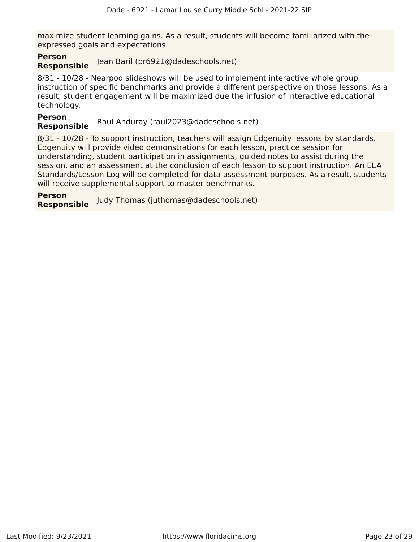maximize student learning gains. As a result, students will become familiarized with the expressed goals and expectations.

#### **Person Responsible** Jean Baril (pr6921@dadeschools.net)

8/31 - 10/28 - Nearpod slideshows will be used to implement interactive whole group instruction of specific benchmarks and provide a different perspective on those lessons. As a result, student engagement will be maximized due the infusion of interactive educational technology.

**Person Responsible** Raul Anduray (raul2023@dadeschools.net)

8/31 - 10/28 - To support instruction, teachers will assign Edgenuity lessons by standards. Edgenuity will provide video demonstrations for each lesson, practice session for understanding, student participation in assignments, guided notes to assist during the session, and an assessment at the conclusion of each lesson to support instruction. An ELA Standards/Lesson Log will be completed for data assessment purposes. As a result, students will receive supplemental support to master benchmarks.

**Person Responsible** Judy Thomas (juthomas@dadeschools.net)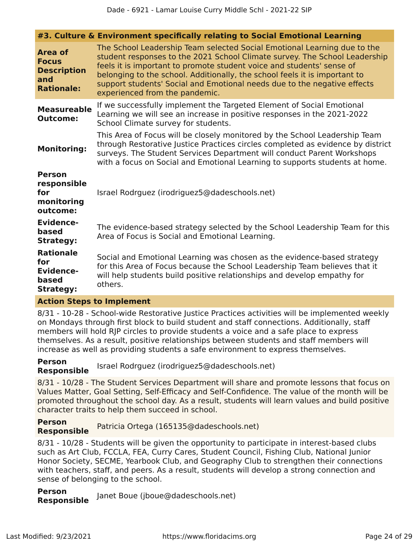|                                                                           | #3. Culture & Environment specifically relating to Social Emotional Learning                                                                                                                                                                                                                                                                                                                                                |
|---------------------------------------------------------------------------|-----------------------------------------------------------------------------------------------------------------------------------------------------------------------------------------------------------------------------------------------------------------------------------------------------------------------------------------------------------------------------------------------------------------------------|
| Area of<br><b>Focus</b><br><b>Description</b><br>and<br><b>Rationale:</b> | The School Leadership Team selected Social Emotional Learning due to the<br>student responses to the 2021 School Climate survey. The School Leadership<br>feels it is important to promote student voice and students' sense of<br>belonging to the school. Additionally, the school feels it is important to<br>support students' Social and Emotional needs due to the negative effects<br>experienced from the pandemic. |
| <b>Measureable</b><br><b>Outcome:</b>                                     | If we successfully implement the Targeted Element of Social Emotional<br>Learning we will see an increase in positive responses in the 2021-2022<br>School Climate survey for students.                                                                                                                                                                                                                                     |
| <b>Monitoring:</b>                                                        | This Area of Focus will be closely monitored by the School Leadership Team<br>through Restorative Justice Practices circles completed as evidence by district<br>surveys. The Student Services Department will conduct Parent Workshops<br>with a focus on Social and Emotional Learning to supports students at home.                                                                                                      |
| <b>Person</b><br>responsible<br>for<br>monitoring<br>outcome:             | Israel Rodrguez (irodriguez5@dadeschools.net)                                                                                                                                                                                                                                                                                                                                                                               |
| <b>Evidence-</b><br>based<br><b>Strategy:</b>                             | The evidence-based strategy selected by the School Leadership Team for this<br>Area of Focus is Social and Emotional Learning.                                                                                                                                                                                                                                                                                              |
| <b>Rationale</b><br>for<br><b>Evidence-</b><br>based<br><b>Strategy:</b>  | Social and Emotional Learning was chosen as the evidence-based strategy<br>for this Area of Focus because the School Leadership Team believes that it<br>will help students build positive relationships and develop empathy for<br>others.                                                                                                                                                                                 |
|                                                                           |                                                                                                                                                                                                                                                                                                                                                                                                                             |

#### **Action Steps to Implement**

8/31 - 10-28 - School-wide Restorative Justice Practices activities will be implemented weekly on Mondays through first block to build student and staff connections. Additionally, staff members will hold RJP circles to provide students a voice and a safe place to express themselves. As a result, positive relationships between students and staff members will increase as well as providing students a safe environment to express themselves.

#### **Person Responsible** Israel Rodrguez (irodriguez5@dadeschools.net)

8/31 - 10/28 - The Student Services Department will share and promote lessons that focus on Values Matter, Goal Setting, Self-Efficacy and Self-Confidence. The value of the month will be promoted throughout the school day. As a result, students will learn values and build positive character traits to help them succeed in school.

**Person Responsible** Patricia Ortega (165135@dadeschools.net)

8/31 - 10/28 - Students will be given the opportunity to participate in interest-based clubs such as Art Club, FCCLA, FEA, Curry Cares, Student Council, Fishing Club, National Junior Honor Society, SECME, Yearbook Club, and Geography Club to strengthen their connections with teachers, staff, and peers. As a result, students will develop a strong connection and sense of belonging to the school.

**Person Responsible** Janet Boue (jboue@dadeschools.net)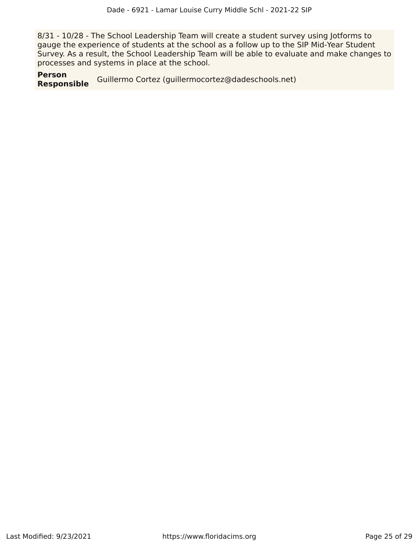8/31 - 10/28 - The School Leadership Team will create a student survey using Jotforms to gauge the experience of students at the school as a follow up to the SIP Mid-Year Student Survey. As a result, the School Leadership Team will be able to evaluate and make changes to processes and systems in place at the school.

**Person** Guillermo Cortez (guillermocortez@dadeschools.net)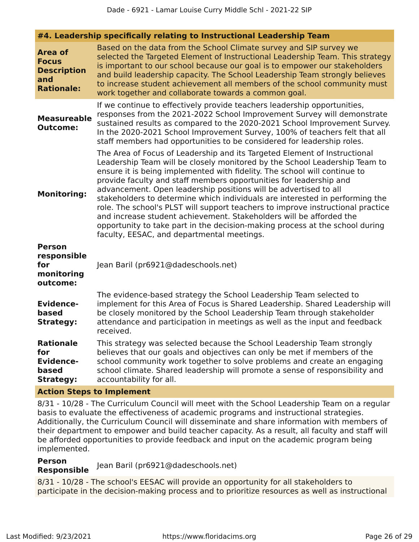| <b>Area of</b><br><b>Focus</b><br><b>Description</b><br>and<br><b>Rationale:</b> | Based on the data from the School Climate survey and SIP survey we<br>selected the Targeted Element of Instructional Leadership Team. This strategy<br>is important to our school because our goal is to empower our stakeholders<br>and build leadership capacity. The School Leadership Team strongly believes<br>to increase student achievement all members of the school community must<br>work together and collaborate towards a common goal.                                                                                                                                                                                                                                                                                                   |
|----------------------------------------------------------------------------------|--------------------------------------------------------------------------------------------------------------------------------------------------------------------------------------------------------------------------------------------------------------------------------------------------------------------------------------------------------------------------------------------------------------------------------------------------------------------------------------------------------------------------------------------------------------------------------------------------------------------------------------------------------------------------------------------------------------------------------------------------------|
| <b>Measureable</b><br><b>Outcome:</b>                                            | If we continue to effectively provide teachers leadership opportunities,<br>responses from the 2021-2022 School Improvement Survey will demonstrate<br>sustained results as compared to the 2020-2021 School Improvement Survey.<br>In the 2020-2021 School Improvement Survey, 100% of teachers felt that all<br>staff members had opportunities to be considered for leadership roles.                                                                                                                                                                                                                                                                                                                                                               |
| <b>Monitoring:</b>                                                               | The Area of Focus of Leadership and its Targeted Element of Instructional<br>Leadership Team will be closely monitored by the School Leadership Team to<br>ensure it is being implemented with fidelity. The school will continue to<br>provide faculty and staff members opportunities for leadership and<br>advancement. Open leadership positions will be advertised to all<br>stakeholders to determine which individuals are interested in performing the<br>role. The school's PLST will support teachers to improve instructional practice<br>and increase student achievement. Stakeholders will be afforded the<br>opportunity to take part in the decision-making process at the school during<br>faculty, EESAC, and departmental meetings. |
| <b>Person</b><br>responsible<br>for<br>monitoring<br>outcome:                    | Jean Baril (pr6921@dadeschools.net)                                                                                                                                                                                                                                                                                                                                                                                                                                                                                                                                                                                                                                                                                                                    |
| <b>Evidence-</b><br>based<br><b>Strategy:</b>                                    | The evidence-based strategy the School Leadership Team selected to<br>implement for this Area of Focus is Shared Leadership. Shared Leadership will<br>be closely monitored by the School Leadership Team through stakeholder<br>attendance and participation in meetings as well as the input and feedback<br>received.                                                                                                                                                                                                                                                                                                                                                                                                                               |
| <b>Rationale</b><br>for<br><b>Evidence-</b><br>based<br><b>Strategy:</b>         | This strategy was selected because the School Leadership Team strongly<br>believes that our goals and objectives can only be met if members of the<br>school community work together to solve problems and create an engaging<br>school climate. Shared leadership will promote a sense of responsibility and<br>accountability for all.                                                                                                                                                                                                                                                                                                                                                                                                               |

#### **Action Steps to Implement**

8/31 - 10/28 - The Curriculum Council will meet with the School Leadership Team on a regular basis to evaluate the effectiveness of academic programs and instructional strategies. Additionally, the Curriculum Council will disseminate and share information with members of their department to empower and build teacher capacity. As a result, all faculty and staff will be afforded opportunities to provide feedback and input on the academic program being implemented.

# **Person**

Jean Baril (pr6921@dadeschools.net)

8/31 - 10/28 - The school's EESAC will provide an opportunity for all stakeholders to participate in the decision-making process and to prioritize resources as well as instructional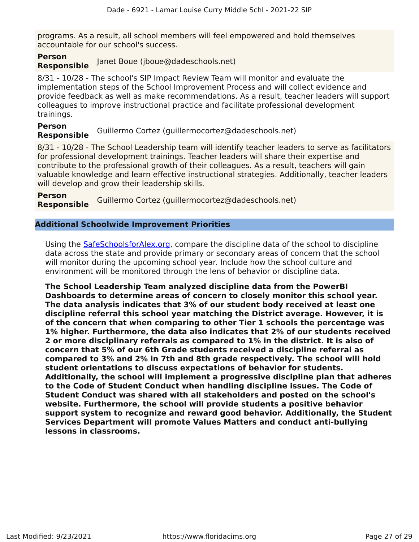programs. As a result, all school members will feel empowered and hold themselves accountable for our school's success.

#### **Person Responsible** Janet Boue (jboue@dadeschools.net)

8/31 - 10/28 - The school's SIP Impact Review Team will monitor and evaluate the implementation steps of the School Improvement Process and will collect evidence and provide feedback as well as make recommendations. As a result, teacher leaders will support colleagues to improve instructional practice and facilitate professional development trainings.

#### **Person Responsible** Guillermo Cortez (guillermocortez@dadeschools.net)

8/31 - 10/28 - The School Leadership team will identify teacher leaders to serve as facilitators for professional development trainings. Teacher leaders will share their expertise and contribute to the professional growth of their colleagues. As a result, teachers will gain valuable knowledge and learn effective instructional strategies. Additionally, teacher leaders will develop and grow their leadership skills.

**Person Responsible** Guillermo Cortez (guillermocortez@dadeschools.net)

#### **Additional Schoolwide Improvement Priorities**

Using the [SafeSchoolsforAlex.org,](https://www.safeschoolsforalex.org/fl-school-safety-dashboard/) compare the discipline data of the school to discipline data across the state and provide primary or secondary areas of concern that the school will monitor during the upcoming school year. Include how the school culture and environment will be monitored through the lens of behavior or discipline data.

**The School Leadership Team analyzed discipline data from the PowerBI Dashboards to determine areas of concern to closely monitor this school year. The data analysis indicates that 3% of our student body received at least one discipline referral this school year matching the District average. However, it is of the concern that when comparing to other Tier 1 schools the percentage was 1% higher. Furthermore, the data also indicates that 2% of our students received 2 or more disciplinary referrals as compared to 1% in the district. It is also of concern that 5% of our 6th Grade students received a discipline referral as compared to 3% and 2% in 7th and 8th grade respectively. The school will hold student orientations to discuss expectations of behavior for students. Additionally, the school will implement a progressive discipline plan that adheres to the Code of Student Conduct when handling discipline issues. The Code of Student Conduct was shared with all stakeholders and posted on the school's website. Furthermore, the school will provide students a positive behavior support system to recognize and reward good behavior. Additionally, the Student Services Department will promote Values Matters and conduct anti-bullying lessons in classrooms.**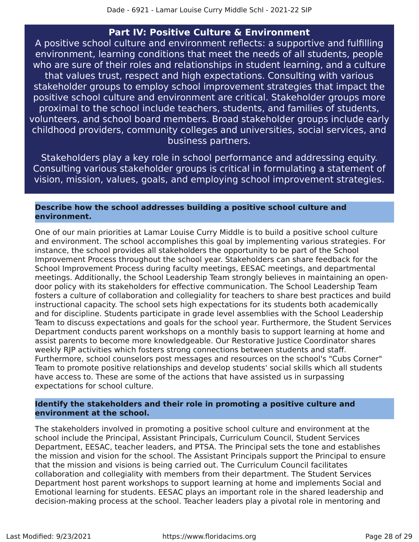#### **Part IV: Positive Culture & Environment**

<span id="page-27-0"></span>A positive school culture and environment reflects: a supportive and fulfilling environment, learning conditions that meet the needs of all students, people who are sure of their roles and relationships in student learning, and a culture that values trust, respect and high expectations. Consulting with various stakeholder groups to employ school improvement strategies that impact the positive school culture and environment are critical. Stakeholder groups more proximal to the school include teachers, students, and families of students, volunteers, and school board members. Broad stakeholder groups include early childhood providers, community colleges and universities, social services, and business partners.

Stakeholders play a key role in school performance and addressing equity. Consulting various stakeholder groups is critical in formulating a statement of vision, mission, values, goals, and employing school improvement strategies.

#### **Describe how the school addresses building a positive school culture and environment.**

One of our main priorities at Lamar Louise Curry Middle is to build a positive school culture and environment. The school accomplishes this goal by implementing various strategies. For instance, the school provides all stakeholders the opportunity to be part of the School Improvement Process throughout the school year. Stakeholders can share feedback for the School Improvement Process during faculty meetings, EESAC meetings, and departmental meetings. Additionally, the School Leadership Team strongly believes in maintaining an opendoor policy with its stakeholders for effective communication. The School Leadership Team fosters a culture of collaboration and collegiality for teachers to share best practices and build instructional capacity. The school sets high expectations for its students both academically and for discipline. Students participate in grade level assemblies with the School Leadership Team to discuss expectations and goals for the school year. Furthermore, the Student Services Department conducts parent workshops on a monthly basis to support learning at home and assist parents to become more knowledgeable. Our Restorative Justice Coordinator shares weekly RJP activities which fosters strong connections between students and staff. Furthermore, school counselors post messages and resources on the school's "Cubs Corner" Team to promote positive relationships and develop students' social skills which all students have access to. These are some of the actions that have assisted us in surpassing expectations for school culture.

#### **Identify the stakeholders and their role in promoting a positive culture and environment at the school.**

The stakeholders involved in promoting a positive school culture and environment at the school include the Principal, Assistant Principals, Curriculum Council, Student Services Department, EESAC, teacher leaders, and PTSA. The Principal sets the tone and establishes the mission and vision for the school. The Assistant Principals support the Principal to ensure that the mission and visions is being carried out. The Curriculum Council facilitates collaboration and collegiality with members from their department. The Student Services Department host parent workshops to support learning at home and implements Social and Emotional learning for students. EESAC plays an important role in the shared leadership and decision-making process at the school. Teacher leaders play a pivotal role in mentoring and